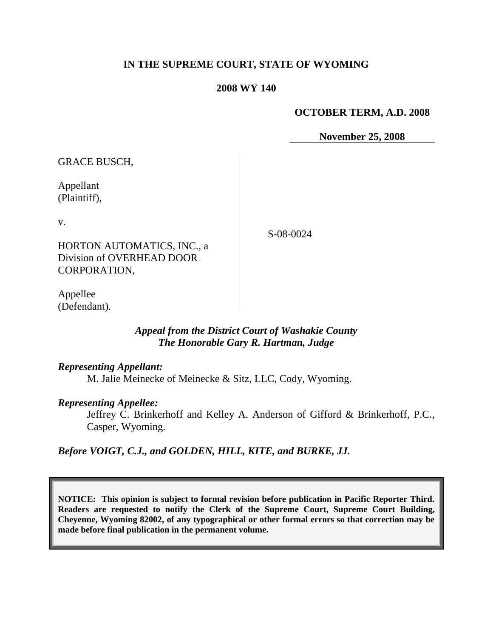## **IN THE SUPREME COURT, STATE OF WYOMING**

#### **2008 WY 140**

#### **OCTOBER TERM, A.D. 2008**

**November 25, 2008**

GRACE BUSCH,

Appellant (Plaintiff),

v.

HORTON AUTOMATICS, INC., a Division of OVERHEAD DOOR CORPORATION,

Appellee (Defendant).

> *Appeal from the District Court of Washakie County The Honorable Gary R. Hartman, Judge*

#### *Representing Appellant:*

M. Jalie Meinecke of Meinecke & Sitz, LLC, Cody, Wyoming.

#### *Representing Appellee:*

Jeffrey C. Brinkerhoff and Kelley A. Anderson of Gifford & Brinkerhoff, P.C., Casper, Wyoming.

*Before VOIGT, C.J., and GOLDEN, HILL, KITE, and BURKE, JJ.*

**NOTICE: This opinion is subject to formal revision before publication in Pacific Reporter Third. Readers are requested to notify the Clerk of the Supreme Court, Supreme Court Building, Cheyenne, Wyoming 82002, of any typographical or other formal errors so that correction may be made before final publication in the permanent volume.**

S-08-0024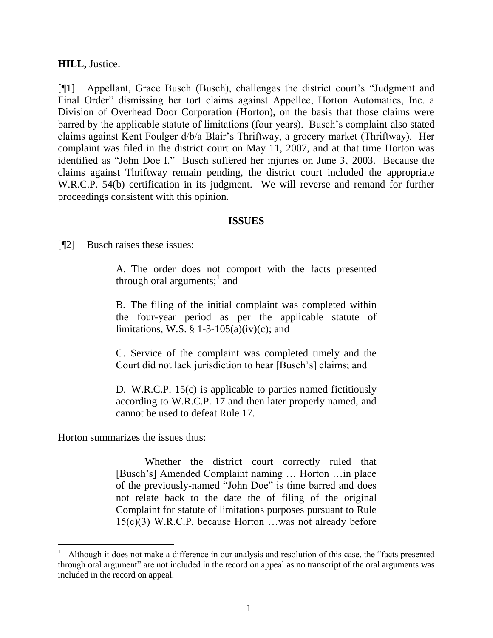### **HILL,** Justice.

[¶1] Appellant, Grace Busch (Busch), challenges the district court's "Judgment and Final Order" dismissing her tort claims against Appellee, Horton Automatics, Inc. a Division of Overhead Door Corporation (Horton), on the basis that those claims were barred by the applicable statute of limitations (four years). Busch"s complaint also stated claims against Kent Foulger d/b/a Blair"s Thriftway, a grocery market (Thriftway). Her complaint was filed in the district court on May 11, 2007, and at that time Horton was identified as "John Doe I." Busch suffered her injuries on June 3, 2003. Because the claims against Thriftway remain pending, the district court included the appropriate W.R.C.P. 54(b) certification in its judgment. We will reverse and remand for further proceedings consistent with this opinion.

### **ISSUES**

[¶2] Busch raises these issues:

A. The order does not comport with the facts presented through oral arguments; $^{\rm l}$  and

B. The filing of the initial complaint was completed within the four-year period as per the applicable statute of limitations, W.S.  $\S$  1-3-105(a)(iv)(c); and

C. Service of the complaint was completed timely and the Court did not lack jurisdiction to hear [Busch"s] claims; and

D. W.R.C.P. 15(c) is applicable to parties named fictitiously according to W.R.C.P. 17 and then later properly named, and cannot be used to defeat Rule 17.

Horton summarizes the issues thus:

Whether the district court correctly ruled that [Busch"s] Amended Complaint naming … Horton …in place of the previously-named "John Doe" is time barred and does not relate back to the date the of filing of the original Complaint for statute of limitations purposes pursuant to Rule 15(c)(3) W.R.C.P. because Horton …was not already before

<sup>1</sup> Although it does not make a difference in our analysis and resolution of this case, the "facts presented through oral argument" are not included in the record on appeal as no transcript of the oral arguments was included in the record on appeal.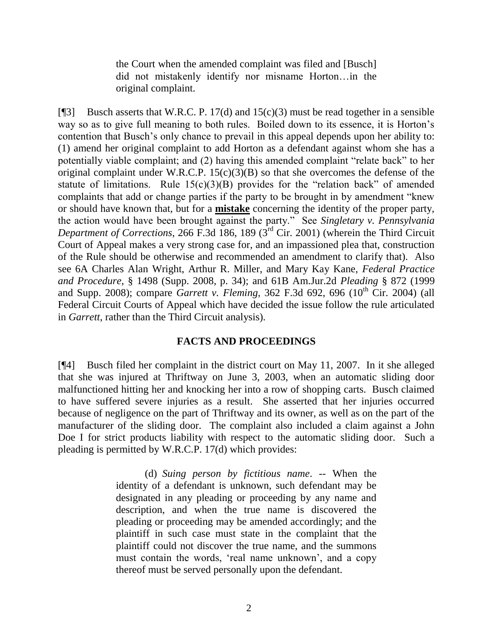the Court when the amended complaint was filed and [Busch] did not mistakenly identify nor misname Horton…in the original complaint.

[ $[$ ]] Busch asserts that W.R.C. P. 17(d) and 15(c)(3) must be read together in a sensible way so as to give full meaning to both rules. Boiled down to its essence, it is Horton's contention that Busch"s only chance to prevail in this appeal depends upon her ability to: (1) amend her original complaint to add Horton as a defendant against whom she has a potentially viable complaint; and (2) having this amended complaint "relate back" to her original complaint under W.R.C.P.  $15(c)(3)(B)$  so that she overcomes the defense of the statute of limitations. Rule  $15(c)(3)(B)$  provides for the "relation back" of amended complaints that add or change parties if the party to be brought in by amendment "knew or should have known that, but for a **mistake** concerning the identity of the proper party, the action would have been brought against the party." See *Singletary v. Pennsylvania Department of Corrections*, 266 F.3d 186, 189 (3rd Cir. 2001) (wherein the Third Circuit Court of Appeal makes a very strong case for, and an impassioned plea that, construction of the Rule should be otherwise and recommended an amendment to clarify that). Also see 6A Charles Alan Wright, Arthur R. Miller, and Mary Kay Kane, *Federal Practice and Procedure*, § 1498 (Supp. 2008, p. 34); and 61B Am.Jur.2d *Pleading* § 872 (1999 and Supp. 2008); compare *Garrett v. Fleming*, 362 F.3d 692, 696 (10<sup>th</sup> Cir. 2004) (all Federal Circuit Courts of Appeal which have decided the issue follow the rule articulated in *Garrett*, rather than the Third Circuit analysis).

### **FACTS AND PROCEEDINGS**

[¶4] Busch filed her complaint in the district court on May 11, 2007. In it she alleged that she was injured at Thriftway on June 3, 2003, when an automatic sliding door malfunctioned hitting her and knocking her into a row of shopping carts. Busch claimed to have suffered severe injuries as a result. She asserted that her injuries occurred because of negligence on the part of Thriftway and its owner, as well as on the part of the manufacturer of the sliding door. The complaint also included a claim against a John Doe I for strict products liability with respect to the automatic sliding door. Such a pleading is permitted by W.R.C.P. 17(d) which provides:

> (d) *Suing person by fictitious name*. -- When the identity of a defendant is unknown, such defendant may be designated in any pleading or proceeding by any name and description, and when the true name is discovered the pleading or proceeding may be amended accordingly; and the plaintiff in such case must state in the complaint that the plaintiff could not discover the true name, and the summons must contain the words, "real name unknown", and a copy thereof must be served personally upon the defendant.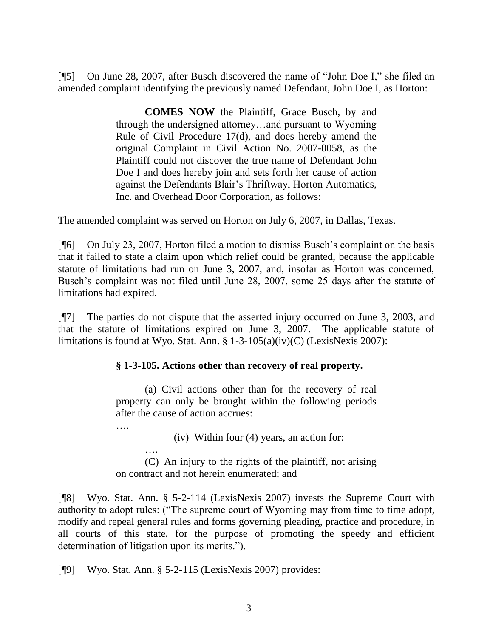[¶5] On June 28, 2007, after Busch discovered the name of "John Doe I," she filed an amended complaint identifying the previously named Defendant, John Doe I, as Horton:

> **COMES NOW** the Plaintiff, Grace Busch, by and through the undersigned attorney…and pursuant to Wyoming Rule of Civil Procedure 17(d), and does hereby amend the original Complaint in Civil Action No. 2007-0058, as the Plaintiff could not discover the true name of Defendant John Doe I and does hereby join and sets forth her cause of action against the Defendants Blair"s Thriftway, Horton Automatics, Inc. and Overhead Door Corporation, as follows:

The amended complaint was served on Horton on July 6, 2007, in Dallas, Texas.

[¶6] On July 23, 2007, Horton filed a motion to dismiss Busch"s complaint on the basis that it failed to state a claim upon which relief could be granted, because the applicable statute of limitations had run on June 3, 2007, and, insofar as Horton was concerned, Busch"s complaint was not filed until June 28, 2007, some 25 days after the statute of limitations had expired.

[¶7] The parties do not dispute that the asserted injury occurred on June 3, 2003, and that the statute of limitations expired on June 3, 2007. The applicable statute of limitations is found at Wyo. Stat. Ann.  $\S 1-3-105(a)(iv)(C)$  (LexisNexis 2007):

# **§ 1-3-105. Actions other than recovery of real property.**

(a) Civil actions other than for the recovery of real property can only be brought within the following periods after the cause of action accrues:

….

(iv) Within four (4) years, an action for:

…. (C) An injury to the rights of the plaintiff, not arising on contract and not herein enumerated; and

[¶8] Wyo. Stat. Ann. § 5-2-114 (LexisNexis 2007) invests the Supreme Court with authority to adopt rules: ("The supreme court of Wyoming may from time to time adopt, modify and repeal general rules and forms governing pleading, practice and procedure, in all courts of this state, for the purpose of promoting the speedy and efficient determination of litigation upon its merits.").

[¶9] Wyo. Stat. Ann. § 5-2-115 (LexisNexis 2007) provides: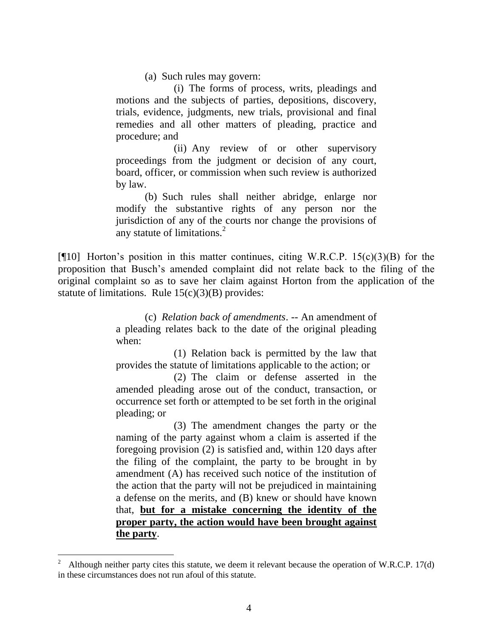(a) Such rules may govern:

(i) The forms of process, writs, pleadings and motions and the subjects of parties, depositions, discovery, trials, evidence, judgments, new trials, provisional and final remedies and all other matters of pleading, practice and procedure; and

(ii) Any review of or other supervisory proceedings from the judgment or decision of any court, board, officer, or commission when such review is authorized by law.

(b) Such rules shall neither abridge, enlarge nor modify the substantive rights of any person nor the jurisdiction of any of the courts nor change the provisions of any statute of limitations.<sup>2</sup>

[ $[$ [10] Horton's position in this matter continues, citing W.R.C.P. 15(c)(3)(B) for the proposition that Busch"s amended complaint did not relate back to the filing of the original complaint so as to save her claim against Horton from the application of the statute of limitations. Rule  $15(c)(3)(B)$  provides:

> (c) *Relation back of amendments*. -- An amendment of a pleading relates back to the date of the original pleading when:

> (1) Relation back is permitted by the law that provides the statute of limitations applicable to the action; or

> (2) The claim or defense asserted in the amended pleading arose out of the conduct, transaction, or occurrence set forth or attempted to be set forth in the original pleading; or

> (3) The amendment changes the party or the naming of the party against whom a claim is asserted if the foregoing provision (2) is satisfied and, within 120 days after the filing of the complaint, the party to be brought in by amendment (A) has received such notice of the institution of the action that the party will not be prejudiced in maintaining a defense on the merits, and (B) knew or should have known that, **but for a mistake concerning the identity of the proper party, the action would have been brought against the party**.

l

<sup>2</sup> Although neither party cites this statute, we deem it relevant because the operation of W.R.C.P. 17(d) in these circumstances does not run afoul of this statute.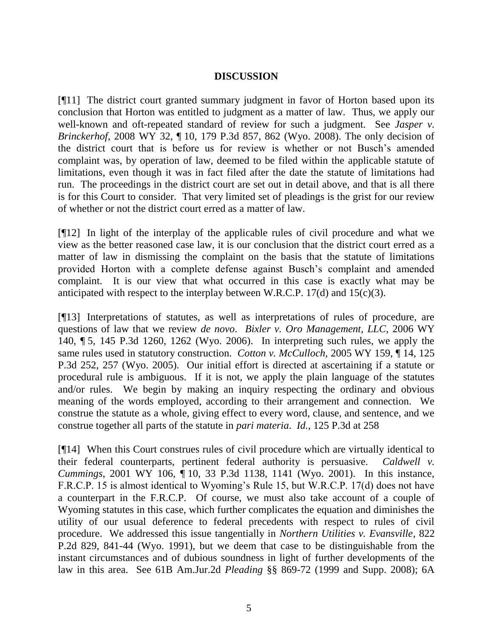### **DISCUSSION**

[¶11] The district court granted summary judgment in favor of Horton based upon its conclusion that Horton was entitled to judgment as a matter of law. Thus, we apply our well-known and oft-repeated standard of review for such a judgment. See *Jasper v*. *Brinckerhof*, 2008 WY 32, ¶ 10, 179 P.3d 857, 862 (Wyo. 2008). The only decision of the district court that is before us for review is whether or not Busch"s amended complaint was, by operation of law, deemed to be filed within the applicable statute of limitations, even though it was in fact filed after the date the statute of limitations had run. The proceedings in the district court are set out in detail above, and that is all there is for this Court to consider. That very limited set of pleadings is the grist for our review of whether or not the district court erred as a matter of law.

[¶12] In light of the interplay of the applicable rules of civil procedure and what we view as the better reasoned case law, it is our conclusion that the district court erred as a matter of law in dismissing the complaint on the basis that the statute of limitations provided Horton with a complete defense against Busch"s complaint and amended complaint. It is our view that what occurred in this case is exactly what may be anticipated with respect to the interplay between W.R.C.P. 17(d) and 15(c)(3).

[¶13] Interpretations of statutes, as well as interpretations of rules of procedure, are questions of law that we review *de novo*. *Bixler v. Oro Management, LLC*, 2006 WY 140, ¶ 5, 145 P.3d 1260, 1262 (Wyo. 2006). In interpreting such rules, we apply the same rules used in statutory construction. *Cotton v. McCulloch,* 2005 WY 159, ¶ 14, 125 P.3d 252, 257 (Wyo. 2005). Our initial effort is directed at ascertaining if a statute or procedural rule is ambiguous. If it is not, we apply the plain language of the statutes and/or rules. We begin by making an inquiry respecting the ordinary and obvious meaning of the words employed, according to their arrangement and connection. We construe the statute as a whole, giving effect to every word, clause, and sentence, and we construe together all parts of the statute in *pari materia*. *Id.*, 125 P.3d at 258

[¶14] When this Court construes rules of civil procedure which are virtually identical to their federal counterparts, pertinent federal authority is persuasive. *Caldwell v. Cummings*, 2001 WY 106, ¶ 10, 33 P.3d 1138, 1141 (Wyo. 2001). In this instance, F.R.C.P. 15 is almost identical to Wyoming's Rule 15, but W.R.C.P. 17(d) does not have a counterpart in the F.R.C.P. Of course, we must also take account of a couple of Wyoming statutes in this case, which further complicates the equation and diminishes the utility of our usual deference to federal precedents with respect to rules of civil procedure. We addressed this issue tangentially in *Northern Utilities v. Evansville*, 822 P.2d 829, 841-44 (Wyo. 1991), but we deem that case to be distinguishable from the instant circumstances and of dubious soundness in light of further developments of the law in this area. See 61B Am.Jur.2d *Pleading* §§ 869-72 (1999 and Supp. 2008); 6A